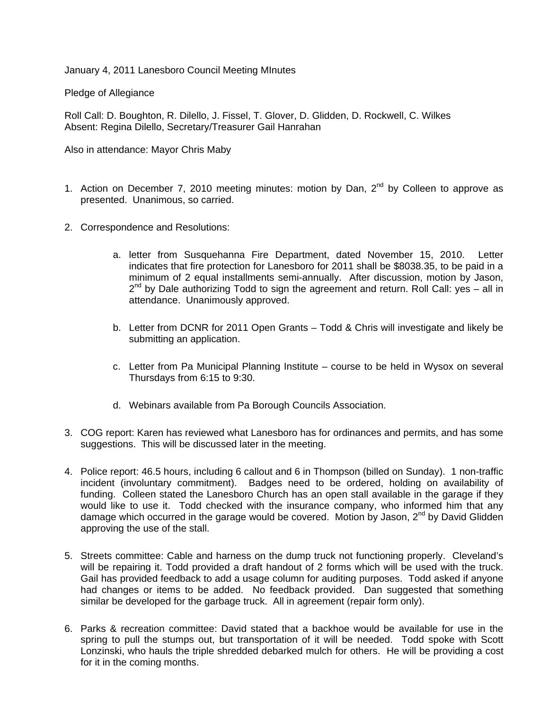January 4, 2011 Lanesboro Council Meeting MInutes

Pledge of Allegiance

Roll Call: D. Boughton, R. Dilello, J. Fissel, T. Glover, D. Glidden, D. Rockwell, C. Wilkes Absent: Regina Dilello, Secretary/Treasurer Gail Hanrahan

Also in attendance: Mayor Chris Maby

- 1. Action on December 7, 2010 meeting minutes: motion by Dan,  $2^{nd}$  by Colleen to approve as presented. Unanimous, so carried.
- 2. Correspondence and Resolutions:
	- a. letter from Susquehanna Fire Department, dated November 15, 2010. Letter indicates that fire protection for Lanesboro for 2011 shall be \$8038.35, to be paid in a minimum of 2 equal installments semi-annually. After discussion, motion by Jason,  $2<sup>nd</sup>$  by Dale authorizing Todd to sign the agreement and return. Roll Call: yes – all in attendance. Unanimously approved.
	- b. Letter from DCNR for 2011 Open Grants Todd & Chris will investigate and likely be submitting an application.
	- c. Letter from Pa Municipal Planning Institute course to be held in Wysox on several Thursdays from 6:15 to 9:30.
	- d. Webinars available from Pa Borough Councils Association.
- 3. COG report: Karen has reviewed what Lanesboro has for ordinances and permits, and has some suggestions. This will be discussed later in the meeting.
- 4. Police report: 46.5 hours, including 6 callout and 6 in Thompson (billed on Sunday). 1 non-traffic incident (involuntary commitment). Badges need to be ordered, holding on availability of funding. Colleen stated the Lanesboro Church has an open stall available in the garage if they would like to use it. Todd checked with the insurance company, who informed him that any damage which occurred in the garage would be covered. Motion by Jason,  $2^{nd}$  by David Glidden approving the use of the stall.
- 5. Streets committee: Cable and harness on the dump truck not functioning properly. Cleveland's will be repairing it. Todd provided a draft handout of 2 forms which will be used with the truck. Gail has provided feedback to add a usage column for auditing purposes. Todd asked if anyone had changes or items to be added. No feedback provided. Dan suggested that something similar be developed for the garbage truck. All in agreement (repair form only).
- 6. Parks & recreation committee: David stated that a backhoe would be available for use in the spring to pull the stumps out, but transportation of it will be needed. Todd spoke with Scott Lonzinski, who hauls the triple shredded debarked mulch for others. He will be providing a cost for it in the coming months.